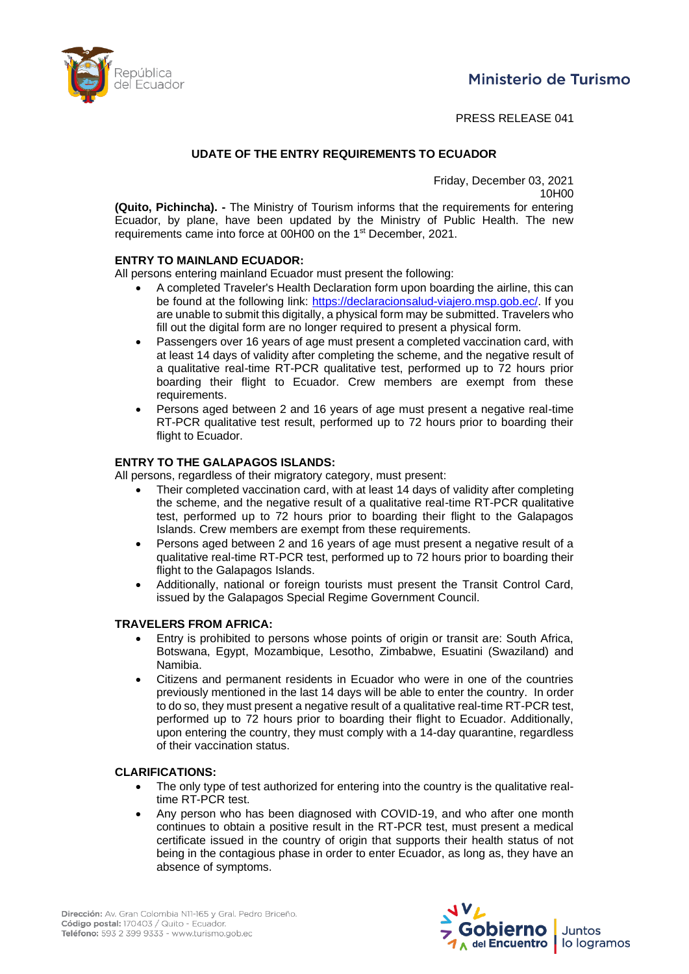



PRESS RELEASE 041

## **UDATE OF THE ENTRY REQUIREMENTS TO ECUADOR**

Friday, December 03, 2021

10H00

**(Quito, Pichincha). -** The Ministry of Tourism informs that the requirements for entering Ecuador, by plane, have been updated by the Ministry of Public Health. The new requirements came into force at 00H00 on the 1st December, 2021.

## **ENTRY TO MAINLAND ECUADOR:**

All persons entering mainland Ecuador must present the following:

- A completed Traveler's Health Declaration form upon boarding the airline, this can be found at the following link: [https://declaracionsalud-viajero.msp.gob.ec/.](https://declaracionsalud-viajero.msp.gob.ec/) If you are unable to submit this digitally, a physical form may be submitted. Travelers who fill out the digital form are no longer required to present a physical form.
- Passengers over 16 years of age must present a completed vaccination card, with at least 14 days of validity after completing the scheme, and the negative result of a qualitative real-time RT-PCR qualitative test, performed up to 72 hours prior boarding their flight to Ecuador. Crew members are exempt from these requirements.
- Persons aged between 2 and 16 years of age must present a negative real-time RT-PCR qualitative test result, performed up to 72 hours prior to boarding their flight to Ecuador.

## **ENTRY TO THE GALAPAGOS ISLANDS:**

All persons, regardless of their migratory category, must present:

- Their completed vaccination card, with at least 14 days of validity after completing the scheme, and the negative result of a qualitative real-time RT-PCR qualitative test, performed up to 72 hours prior to boarding their flight to the Galapagos Islands. Crew members are exempt from these requirements.
- Persons aged between 2 and 16 years of age must present a negative result of a qualitative real-time RT-PCR test, performed up to 72 hours prior to boarding their flight to the Galapagos Islands.
- Additionally, national or foreign tourists must present the Transit Control Card, issued by the Galapagos Special Regime Government Council.

#### **TRAVELERS FROM AFRICA:**

- Entry is prohibited to persons whose points of origin or transit are: South Africa, Botswana, Egypt, Mozambique, Lesotho, Zimbabwe, Esuatini (Swaziland) and Namibia.
- Citizens and permanent residents in Ecuador who were in one of the countries previously mentioned in the last 14 days will be able to enter the country. In order to do so, they must present a negative result of a qualitative real-time RT-PCR test, performed up to 72 hours prior to boarding their flight to Ecuador. Additionally, upon entering the country, they must comply with a 14-day quarantine, regardless of their vaccination status.

#### **CLARIFICATIONS:**

- The only type of test authorized for entering into the country is the qualitative realtime RT-PCR test.
- Any person who has been diagnosed with COVID-19, and who after one month continues to obtain a positive result in the RT-PCR test, must present a medical certificate issued in the country of origin that supports their health status of not being in the contagious phase in order to enter Ecuador, as long as, they have an absence of symptoms.